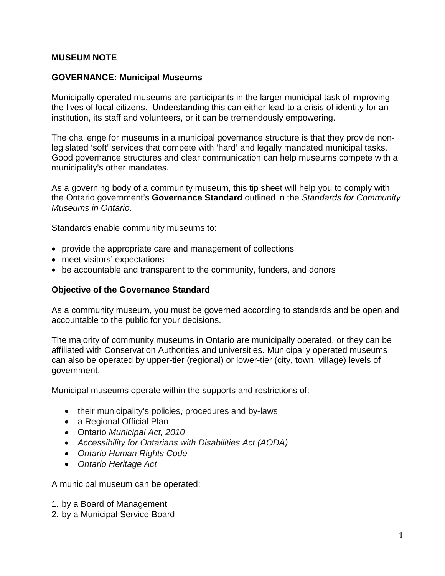## **MUSEUM NOTE**

## **GOVERNANCE: Municipal Museums**

Municipally operated museums are participants in the larger municipal task of improving the lives of local citizens. Understanding this can either lead to a crisis of identity for an institution, its staff and volunteers, or it can be tremendously empowering.

The challenge for museums in a municipal governance structure is that they provide nonlegislated 'soft' services that compete with 'hard' and legally mandated municipal tasks. Good governance structures and clear communication can help museums compete with a municipality's other mandates.

As a governing body of a community museum, this tip sheet will help you to comply with the Ontario government's **Governance Standard** outlined in the *Standards for Community Museums in Ontario.*

Standards enable community museums to:

- provide the appropriate care and management of collections
- meet visitors' expectations
- be accountable and transparent to the community, funders, and donors

#### **Objective of the Governance Standard**

As a community museum, you must be governed according to standards and be open and accountable to the public for your decisions.

The majority of community museums in Ontario are municipally operated, or they can be affiliated with Conservation Authorities and universities. Municipally operated museums can also be operated by upper-tier (regional) or lower-tier (city, town, village) levels of government.

Municipal museums operate within the supports and restrictions of:

- their municipality's policies, procedures and by-laws
- a Regional Official Plan
- Ontario *Municipal Act, 2010*
- *Accessibility for Ontarians with Disabilities Act (AODA)*
- *Ontario Human Rights Code*
- *Ontario Heritage Act*

A municipal museum can be operated:

- 1. by a Board of Management
- 2. by a Municipal Service Board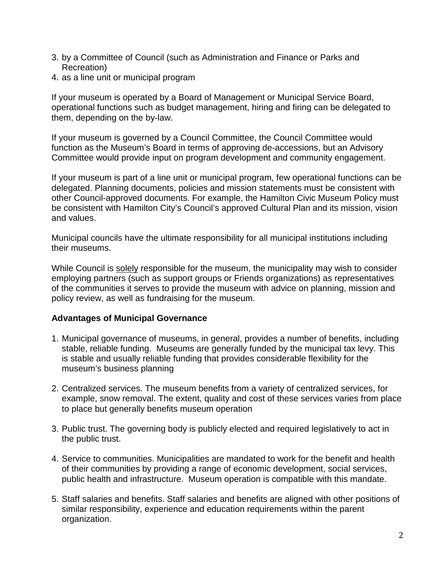- 3. by a Committee of Council (such as Administration and Finance or Parks and Recreation)
- 4. as a line unit or municipal program

If your museum is operated by a Board of Management or Municipal Service Board, operational functions such as budget management, hiring and firing can be delegated to them, depending on the by-law.

If your museum is governed by a Council Committee, the Council Committee would function as the Museum's Board in terms of approving de-accessions, but an Advisory Committee would provide input on program development and community engagement.

If your museum is part of a line unit or municipal program, few operational functions can be delegated. Planning documents, policies and mission statements must be consistent with other Council-approved documents. For example, the Hamilton Civic Museum Policy must be consistent with Hamilton City's Council's approved Cultural Plan and its mission, vision and values.

Municipal councils have the ultimate responsibility for all municipal institutions including their museums.

While Council is solely responsible for the museum, the municipality may wish to consider employing partners (such as support groups or Friends organizations) as representatives of the communities it serves to provide the museum with advice on planning, mission and policy review, as well as fundraising for the museum.

#### **Advantages of Municipal Governance**

- 1. Municipal governance of museums, in general, provides a number of benefits, including stable, reliable funding. Museums are generally funded by the municipal tax levy. This is stable and usually reliable funding that provides considerable flexibility for the museum's business planning
- 2. Centralized services. The museum benefits from a variety of centralized services, for example, snow removal. The extent, quality and cost of these services varies from place to place but generally benefits museum operation
- 3. Public trust. The governing body is publicly elected and required legislatively to act in the public trust.
- 4. Service to communities. Municipalities are mandated to work for the benefit and health of their communities by providing a range of economic development, social services, public health and infrastructure. Museum operation is compatible with this mandate.
- 5. Staff salaries and benefits. Staff salaries and benefits are aligned with other positions of similar responsibility, experience and education requirements within the parent organization.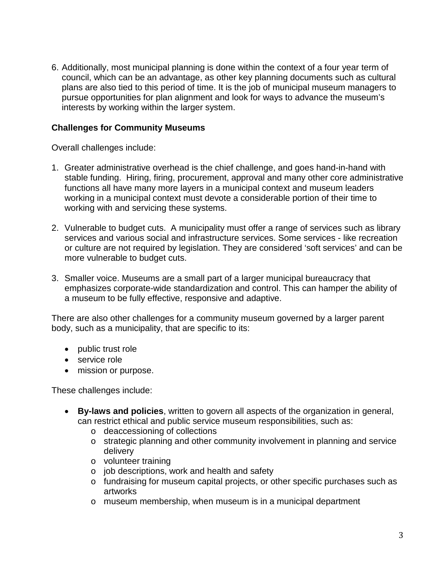6. Additionally, most municipal planning is done within the context of a four year term of council, which can be an advantage, as other key planning documents such as cultural plans are also tied to this period of time. It is the job of municipal museum managers to pursue opportunities for plan alignment and look for ways to advance the museum's interests by working within the larger system.

## **Challenges for Community Museums**

Overall challenges include:

- 1. Greater administrative overhead is the chief challenge, and goes hand-in-hand with stable funding. Hiring, firing, procurement, approval and many other core administrative functions all have many more layers in a municipal context and museum leaders working in a municipal context must devote a considerable portion of their time to working with and servicing these systems.
- 2. Vulnerable to budget cuts. A municipality must offer a range of services such as library services and various social and infrastructure services. Some services - like recreation or culture are not required by legislation. They are considered 'soft services' and can be more vulnerable to budget cuts.
- 3. Smaller voice. Museums are a small part of a larger municipal bureaucracy that emphasizes corporate-wide standardization and control. This can hamper the ability of a museum to be fully effective, responsive and adaptive.

There are also other challenges for a community museum governed by a larger parent body, such as a municipality, that are specific to its:

- public trust role
- service role
- mission or purpose.

These challenges include:

- **By-laws and policies**, written to govern all aspects of the organization in general, can restrict ethical and public service museum responsibilities, such as:
	- o deaccessioning of collections
	- o strategic planning and other community involvement in planning and service delivery
	- o volunteer training
	- o job descriptions, work and health and safety
	- o fundraising for museum capital projects, or other specific purchases such as artworks
	- o museum membership, when museum is in a municipal department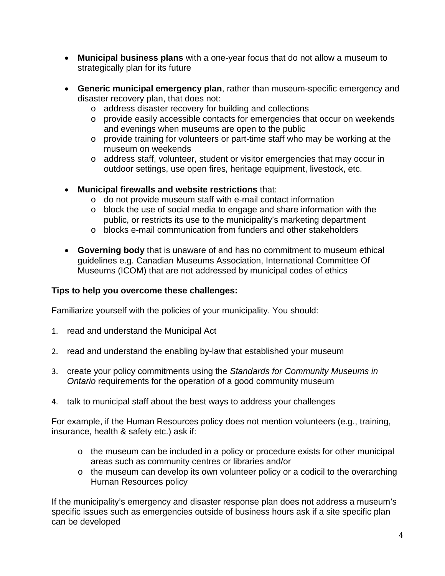- **Municipal business plans** with a one-year focus that do not allow a museum to strategically plan for its future
- **Generic municipal emergency plan**, rather than museum-specific emergency and disaster recovery plan, that does not:
	- o address disaster recovery for building and collections
	- o provide easily accessible contacts for emergencies that occur on weekends and evenings when museums are open to the public
	- o provide training for volunteers or part-time staff who may be working at the museum on weekends
	- o address staff, volunteer, student or visitor emergencies that may occur in outdoor settings, use open fires, heritage equipment, livestock, etc.
- **Municipal firewalls and website restrictions** that:
	- o do not provide museum staff with e-mail contact information
	- o block the use of social media to engage and share information with the public, or restricts its use to the municipality's marketing department
	- o blocks e-mail communication from funders and other stakeholders
- **Governing body** that is unaware of and has no commitment to museum ethical guidelines e.g. Canadian Museums Association, International Committee Of Museums (ICOM) that are not addressed by municipal codes of ethics

# **Tips to help you overcome these challenges:**

Familiarize yourself with the policies of your municipality. You should:

- 1. read and understand the Municipal Act
- 2. read and understand the enabling by-law that established your museum
- 3. create your policy commitments using the *Standards for Community Museums in Ontario* requirements for the operation of a good community museum
- 4. talk to municipal staff about the best ways to address your challenges

For example, if the Human Resources policy does not mention volunteers (e.g., training, insurance, health & safety etc.) ask if:

- o the museum can be included in a policy or procedure exists for other municipal areas such as community centres or libraries and/or
- o the museum can develop its own volunteer policy or a codicil to the overarching Human Resources policy

If the municipality's emergency and disaster response plan does not address a museum's specific issues such as emergencies outside of business hours ask if a site specific plan can be developed